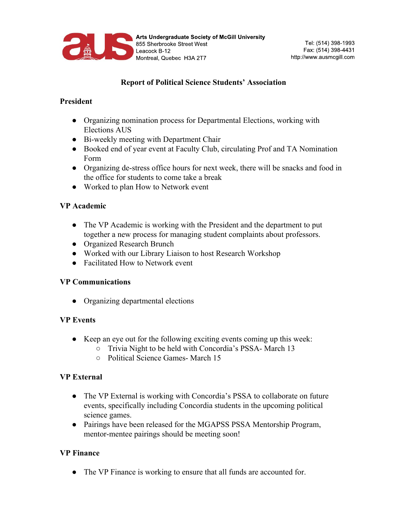

# **Report of Political Science Students' Association**

#### **President**

- Organizing nomination process for Departmental Elections, working with Elections AUS
- Bi-weekly meeting with Department Chair
- Booked end of year event at Faculty Club, circulating Prof and TA Nomination Form
- Organizing de-stress office hours for next week, there will be snacks and food in the office for students to come take a break
- Worked to plan How to Network event

### **VP Academic**

- The VP Academic is working with the President and the department to put together a new process for managing student complaints about professors.
- Organized Research Brunch
- Worked with our Library Liaison to host Research Workshop
- Facilitated How to Network event

### **VP Communications**

• Organizing departmental elections

### **VP Events**

- Keep an eye out for the following exciting events coming up this week:
	- Trivia Night to be held with Concordia's PSSA- March 13
	- Political Science Games- March 15

### **VP External**

- The VP External is working with Concordia's PSSA to collaborate on future events, specifically including Concordia students in the upcoming political science games.
- Pairings have been released for the MGAPSS PSSA Mentorship Program, mentor-mentee pairings should be meeting soon!

### **VP Finance**

• The VP Finance is working to ensure that all funds are accounted for.